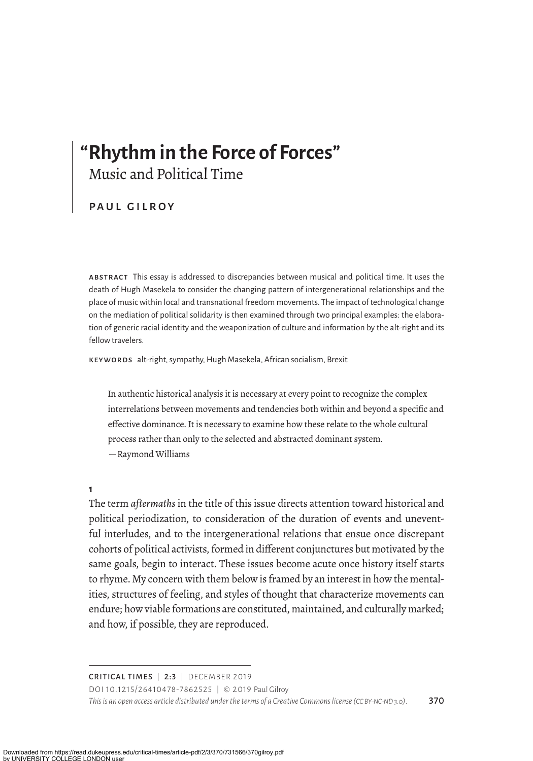# **"Rhythm in the Force of Forces"** Music and Political Time

PAUL GILROY

abstract This essay is addressed to discrepancies between musical and political time. It uses the death of Hugh Masekela to consider the changing pattern of intergenerational relationships and the place of music within local and transnational freedom movements. The impact of technological change on the mediation of political solidarity is then examined through two principal examples: the elaboration of generic racial identity and the weaponization of culture and information by the alt-right and its fellow travelers.

keywords alt-right, sympathy, Hugh Masekela, African socialism, Brexit

In authentic historical analysis it is necessary at every point to recognize the complex interrelations between movements and tendencies both within and beyond a specific and efective dominance. It is necessary to examine how these relate to the whole cultural process rather than only to the selected and abstracted dominant system. —Raymond Williams

**1**

The term *aftermaths* in the title of this issue directs attention toward historical and political periodization, to consideration of the duration of events and uneventful interludes, and to the intergenerational relations that ensue once discrepant cohorts of political activists, formed in diferent conjunctures but motivated by the same goals, begin to interact. These issues become acute once history itself starts to rhyme. My concern with them below is framed by an interest in how the mentalities, structures of feeling, and styles of thought that characterize movements can endure; how viable formations are constituted, maintained, and culturally marked; and how, if possible, they are reproduced.

CRITICAL TIMES | 2:3 | DECEMBER 2019

DOI 10.1215/26410478-7862525 | © 2019 Paul Gilroy *This is an open access article distributed under the terms of a Creative Commons license (CC BY-NC-ND 3.0).* 370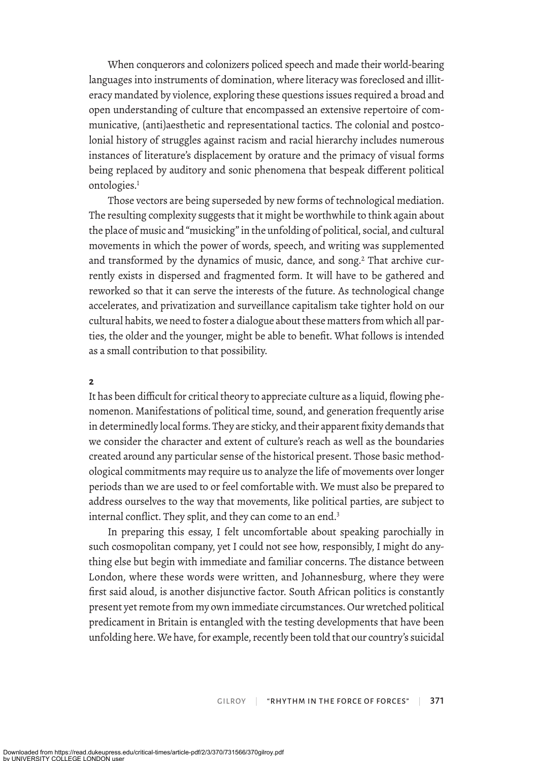When conquerors and colonizers policed speech and made their world-bearing languages into instruments of domination, where literacy was foreclosed and illiteracy mandated by violence, exploring these questions issues required a broad and open understanding of culture that encompassed an extensive repertoire of communicative, (anti)aesthetic and representational tactics. The colonial and postcolonial history of struggles against racism and racial hierarchy includes numerous instances of literature's displacement by orature and the primacy of visual forms being replaced by auditory and sonic phenomena that bespeak diferent political ontologies.<sup>1</sup>

Those vectors are being superseded by new forms of technological mediation. The resulting complexity suggests that it might be worthwhile to think again about the place of music and "musicking" in the unfolding of political, social, and cultural movements in which the power of words, speech, and writing was supplemented and transformed by the dynamics of music, dance, and song.<sup>2</sup> That archive currently exists in dispersed and fragmented form. It will have to be gathered and reworked so that it can serve the interests of the future. As technological change accelerates, and privatization and surveillance capitalism take tighter hold on our cultural habits, we need to foster a dialogue about these matters from which all parties, the older and the younger, might be able to benefit. What follows is intended as a small contribution to that possibility.

## **2**

It has been difficult for critical theory to appreciate culture as a liquid, flowing phenomenon. Manifestations of political time, sound, and generation frequently arise in determinedly local forms. They are sticky, and their apparent fixity demands that we consider the character and extent of culture's reach as well as the boundaries created around any particular sense of the historical present. Those basic methodological commitments may require us to analyze the life of movements over longer periods than we are used to or feel comfortable with. We must also be prepared to address ourselves to the way that movements, like political parties, are subject to internal conflict. They split, and they can come to an end.<sup>3</sup>

In preparing this essay, I felt uncomfortable about speaking parochially in such cosmopolitan company, yet I could not see how, responsibly, I might do anything else but begin with immediate and familiar concerns. The distance between London, where these words were written, and Johannesburg, where they were first said aloud, is another disjunctive factor. South African politics is constantly present yet remote from my own immediate circumstances. Our wretched political predicament in Britain is entangled with the testing developments that have been unfolding here. We have, for example, recently been told that our country's suicidal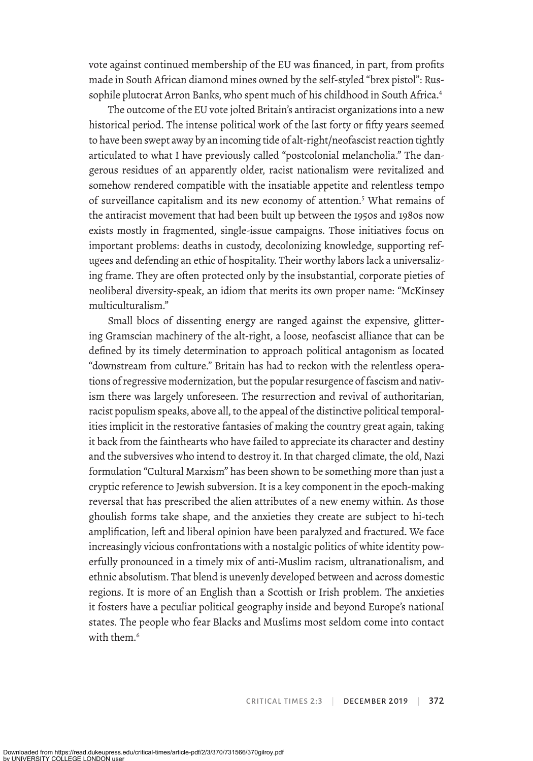vote against continued membership of the EU was financed, in part, from profits made in South African diamond mines owned by the self-styled "brex pistol": Russophile plutocrat Arron Banks, who spent much of his childhood in South Africa.<sup>4</sup>

The outcome of the EU vote jolted Britain's antiracist organizations into a new historical period. The intense political work of the last forty or fifty years seemed to have been swept away by an incoming tide of alt-right/neofascist reaction tightly articulated to what I have previously called "postcolonial melancholia." The dangerous residues of an apparently older, racist nationalism were revitalized and somehow rendered compatible with the insatiable appetite and relentless tempo of surveillance capitalism and its new economy of attention.5 What remains of the antiracist movement that had been built up between the 1950s and 1980s now exists mostly in fragmented, single-issue campaigns. Those initiatives focus on important problems: deaths in custody, decolonizing knowledge, supporting refugees and defending an ethic of hospitality. Their worthy labors lack a universalizing frame. They are often protected only by the insubstantial, corporate pieties of neoliberal diversity-speak, an idiom that merits its own proper name: "McKinsey multiculturalism."

Small blocs of dissenting energy are ranged against the expensive, glittering Gramscian machinery of the alt-right, a loose, neofascist alliance that can be defined by its timely determination to approach political antagonism as located "downstream from culture." Britain has had to reckon with the relentless operations of regressive modernization, but the popular resurgence of fascism and nativism there was largely unforeseen. The resurrection and revival of authoritarian, racist populism speaks, above all, to the appeal of the distinctive political temporalities implicit in the restorative fantasies of making the country great again, taking it back from the fainthearts who have failed to appreciate its character and destiny and the subversives who intend to destroy it. In that charged climate, the old, Nazi formulation "Cultural Marxism" has been shown to be something more than just a cryptic reference to Jewish subversion. It is a key component in the epoch-making reversal that has prescribed the alien attributes of a new enemy within. As those ghoulish forms take shape, and the anxieties they create are subject to hi-tech amplification, left and liberal opinion have been paralyzed and fractured. We face increasingly vicious confrontations with a nostalgic politics of white identity powerfully pronounced in a timely mix of anti-Muslim racism, ultranationalism, and ethnic absolutism. That blend is unevenly developed between and across domestic regions. It is more of an English than a Scottish or Irish problem. The anxieties it fosters have a peculiar political geography inside and beyond Europe's national states. The people who fear Blacks and Muslims most seldom come into contact with them.<sup>6</sup>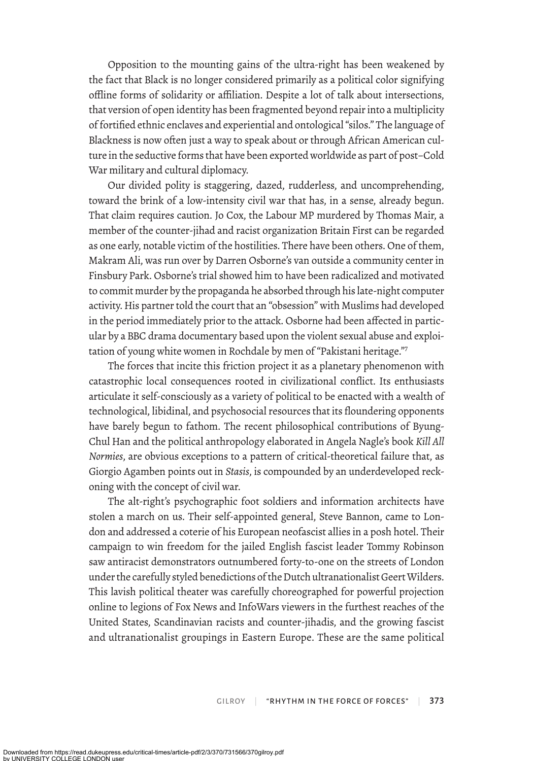Opposition to the mounting gains of the ultra-right has been weakened by the fact that Black is no longer considered primarily as a political color signifying offline forms of solidarity or afliation. Despite a lot of talk about intersections, that version of open identity has been fragmented beyond repair into a multiplicity of fortified ethnic enclaves and experiential and ontological "silos." The language of Blackness is now often just a way to speak about or through African American culture in the seductive forms that have been exported worldwide as part of post–Cold War military and cultural diplomacy.

Our divided polity is stagering, dazed, rudderless, and uncomprehending, toward the brink of a low-intensity civil war that has, in a sense, already begun. That claim requires caution. Jo Cox, the Labour MP murdered by Thomas Mair, a member of the counter-jihad and racist organization Britain First can be regarded as one early, notable victim of the hostilities. There have been others. One of them, Makram Ali, was run over by Darren Osborne's van outside a community center in Finsbury Park. Osborne's trial showed him to have been radicalized and motivated to commit murder by the propaganda he absorbed through his late-night computer activity. His partner told the court that an "obsession" with Muslims had developed in the period immediately prior to the attack. Osborne had been afected in particular by a BBC drama documentary based upon the violent sexual abuse and exploitation of young white women in Rochdale by men of "Pakistani heritage."7

The forces that incite this friction project it as a planetary phenomenon with catastrophic local consequences rooted in civilizational conflict. Its enthusiasts articulate it self-consciously as a variety of political to be enacted with a wealth of technological, libidinal, and psychosocial resources that its floundering opponents have barely begun to fathom. The recent philosophical contributions of Byung-Chul Han and the political anthropology elaborated in Angela Nagle's book *Kill All Normies*, are obvious exceptions to a pattern of critical-theoretical failure that, as Giorgio Agamben points out in *Stasis*, is compounded by an underdeveloped reckoning with the concept of civil war.

The alt-right's psychographic foot soldiers and information architects have stolen a march on us. Their self-appointed general, Steve Bannon, came to London and addressed a coterie of his European neofascist allies in a posh hotel. Their campaign to win freedom for the jailed English fascist leader Tommy Robinson saw antiracist demonstrators outnumbered forty-to-one on the streets of London under the carefully styled benedictions of the Dutch ultranationalist Geert Wilders. This lavish political theater was carefully choreographed for powerful projection online to legions of Fox News and InfoWars viewers in the furthest reaches of the United States, Scandinavian racists and counter-jihadis, and the growing fascist and ultranationalist groupings in Eastern Europe. These are the same political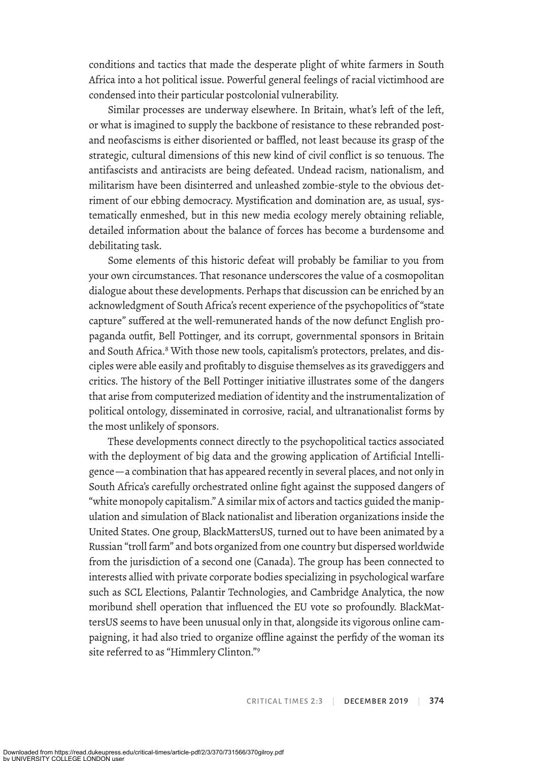conditions and tactics that made the desperate plight of white farmers in South Africa into a hot political issue. Powerful general feelings of racial victimhood are condensed into their particular postcolonial vulnerability.

Similar processes are underway elsewhere. In Britain, what's left of the left, or what is imagined to supply the backbone of resistance to these rebranded postand neofascisms is either disoriented or baffled, not least because its grasp of the strategic, cultural dimensions of this new kind of civil conflict is so tenuous. The antifascists and antiracists are being defeated. Undead racism, nationalism, and militarism have been disinterred and unleashed zombie-style to the obvious detriment of our ebbing democracy. Mystification and domination are, as usual, systematically enmeshed, but in this new media ecology merely obtaining reliable, detailed information about the balance of forces has become a burdensome and debilitating task.

Some elements of this historic defeat will probably be familiar to you from your own circumstances. That resonance underscores the value of a cosmopolitan dialogue about these developments. Perhaps that discussion can be enriched by an acknowledgment of South Africa's recent experience of the psychopolitics of "state capture" sufered at the well-remunerated hands of the now defunct English propaganda outfit, Bell Pottinger, and its corrupt, governmental sponsors in Britain and South Africa.<sup>8</sup> With those new tools, capitalism's protectors, prelates, and disciples were able easily and profitably to disguise themselves as its gravediggers and critics. The history of the Bell Pottinger initiative illustrates some of the dangers that arise from computerized mediation of identity and the instrumentalization of political ontology, disseminated in corrosive, racial, and ultranationalist forms by the most unlikely of sponsors.

These developments connect directly to the psychopolitical tactics associated with the deployment of big data and the growing application of Artificial Intelligence—a combination that has appeared recently in several places, and not only in South Africa's carefully orchestrated online fight against the supposed dangers of "white monopoly capitalism." A similar mix of actors and tactics guided the manipulation and simulation of Black nationalist and liberation organizations inside the United States. One group, BlackMattersUS, turned out to have been animated by a Russian "troll farm" and bots organized from one country but dispersed worldwide from the jurisdiction of a second one (Canada). The group has been connected to interests allied with private corporate bodies specializing in psychological warfare such as SCL Elections, Palantir Technologies, and Cambridge Analytica, the now moribund shell operation that influenced the EU vote so profoundly. BlackMattersUS seems to have been unusual only in that, alongside its vigorous online campaigning, it had also tried to organize offline against the perfidy of the woman its site referred to as "Himmlery Clinton."9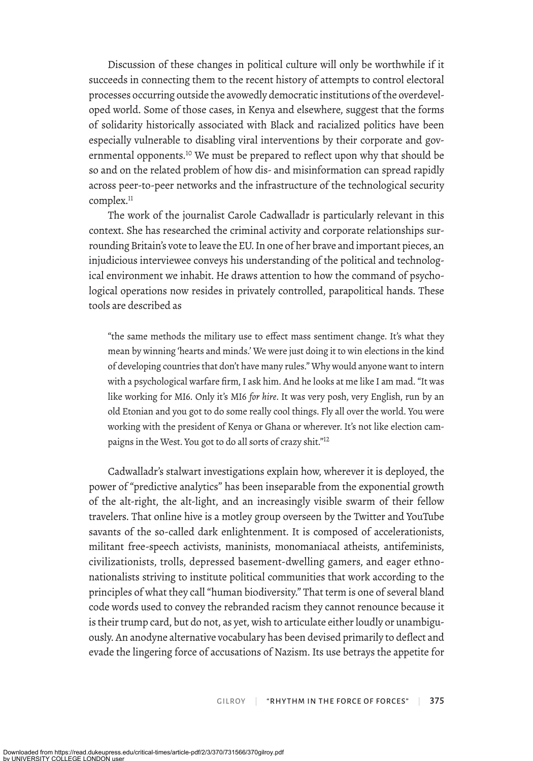Discussion of these changes in political culture will only be worthwhile if it succeeds in connecting them to the recent history of attempts to control electoral processes occurring outside the avowedly democratic institutions of the overdeveloped world. Some of those cases, in Kenya and elsewhere, sugest that the forms of solidarity historically associated with Black and racialized politics have been especially vulnerable to disabling viral interventions by their corporate and governmental opponents.10 We must be prepared to reflect upon why that should be so and on the related problem of how dis- and misinformation can spread rapidly across peer-to-peer networks and the infrastructure of the technological security complex.<sup>11</sup>

The work of the journalist Carole Cadwalladr is particularly relevant in this context. She has researched the criminal activity and corporate relationships surrounding Britain's vote to leave the EU. In one of her brave and important pieces, an injudicious interviewee conveys his understanding of the political and technological environment we inhabit. He draws attention to how the command of psychological operations now resides in privately controlled, parapolitical hands. These tools are described as

"the same methods the military use to efect mass sentiment change. It's what they mean by winning 'hearts and minds.' We were just doing it to win elections in the kind of developing countries that don't have many rules." Why would anyone want to intern with a psychological warfare firm, I ask him. And he looks at me like I am mad. "It was like working for MI6. Only it's MI6 *for hire*. It was very posh, very English, run by an old Etonian and you got to do some really cool things. Fly all over the world. You were working with the president of Kenya or Ghana or wherever. It's not like election campaigns in the West. You got to do all sorts of crazy shit."<sup>12</sup>

Cadwalladr's stalwart investigations explain how, wherever it is deployed, the power of "predictive analytics" has been inseparable from the exponential growth of the alt-right, the alt-light, and an increasingly visible swarm of their fellow travelers. That online hive is a motley group overseen by the Twitter and YouTube savants of the so-called dark enlightenment. It is composed of accelerationists, militant free-speech activists, maninists, monomaniacal atheists, antifeminists, civilizationists, trolls, depressed basement-dwelling gamers, and eager ethnonationalists striving to institute political communities that work according to the principles of what they call "human biodiversity." That term is one of several bland code words used to convey the rebranded racism they cannot renounce because it is their trump card, but do not, as yet, wish to articulate either loudly or unambiguously. An anodyne alternative vocabulary has been devised primarily to deflect and evade the lingering force of accusations of Nazism. Its use betrays the appetite for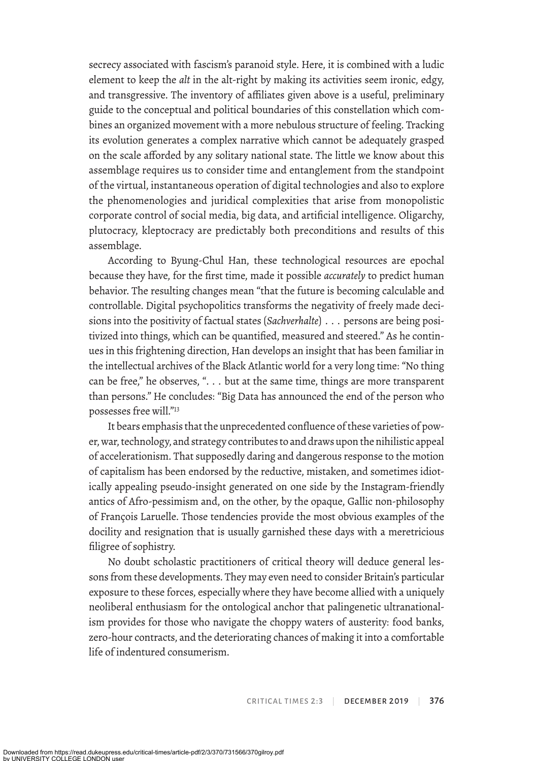secrecy associated with fascism's paranoid style. Here, it is combined with a ludic element to keep the *alt* in the alt-right by making its activities seem ironic, edgy, and transgressive. The inventory of affiliates given above is a useful, preliminary guide to the conceptual and political boundaries of this constellation which combines an organized movement with a more nebulous structure of feeling. Tracking its evolution generates a complex narrative which cannot be adequately grasped on the scale afforded by any solitary national state. The little we know about this assemblage requires us to consider time and entanglement from the standpoint of the virtual, instantaneous operation of digital technologies and also to explore the phenomenologies and juridical complexities that arise from monopolistic corporate control of social media, big data, and artificial intelligence. Oligarchy, plutocracy, kleptocracy are predictably both preconditions and results of this assemblage.

According to Byung-Chul Han, these technological resources are epochal because they have, for the first time, made it possible *accurately* to predict human behavior. The resulting changes mean "that the future is becoming calculable and controllable. Digital psychopolitics transforms the negativity of freely made decisions into the positivity of factual states (*Sachverhalte*) . . . persons are being positivized into things, which can be quantified, measured and steered." As he continues in this frightening direction, Han develops an insight that has been familiar in the intellectual archives of the Black Atlantic world for a very long time: "No thing can be free," he observes, ". . . but at the same time, things are more transparent than persons." He concludes: "Big Data has announced the end of the person who possesses free will."13

It bears emphasis that the unprecedented confluence of these varieties of power, war, technology, and strategy contributes to and draws upon the nihilistic appeal of accelerationism. That supposedly daring and dangerous response to the motion of capitalism has been endorsed by the reductive, mistaken, and sometimes idiotically appealing pseudo-insight generated on one side by the Instagram-friendly antics of Afro-pessimism and, on the other, by the opaque, Gallic non-philosophy of François Laruelle. Those tendencies provide the most obvious examples of the docility and resignation that is usually garnished these days with a meretricious filigree of sophistry.

No doubt scholastic practitioners of critical theory will deduce general lessons from these developments. They may even need to consider Britain's particular exposure to these forces, especially where they have become allied with a uniquely neoliberal enthusiasm for the ontological anchor that palingenetic ultranationalism provides for those who navigate the choppy waters of austerity: food banks, zero-hour contracts, and the deteriorating chances of making it into a comfortable life of indentured consumerism.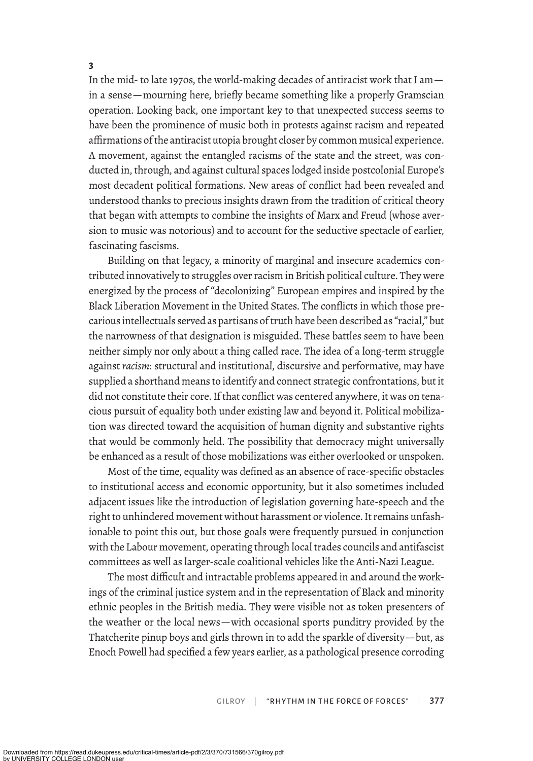In the mid- to late 1970s, the world-making decades of antiracist work that I am in a sense—mourning here, briefly became something like a properly Gramscian operation. Looking back, one important key to that unexpected success seems to have been the prominence of music both in protests against racism and repeated afrmations of the antiracist utopia brought closer by common musical experience. A movement, against the entangled racisms of the state and the street, was conducted in, through, and against cultural spaces lodged inside postcolonial Europe's most decadent political formations. New areas of conflict had been revealed and understood thanks to precious insights drawn from the tradition of critical theory that began with attempts to combine the insights of Marx and Freud (whose aversion to music was notorious) and to account for the seductive spectacle of earlier, fascinating fascisms.

Building on that legacy, a minority of marginal and insecure academics contributed innovatively to struggles over racism in British political culture. They were energized by the process of "decolonizing" European empires and inspired by the Black Liberation Movement in the United States. The conflicts in which those precarious intellectuals served as partisans of truth have been described as "racial," but the narrowness of that designation is misguided. These battles seem to have been neither simply nor only about a thing called race. The idea of a long-term struggle against *racism*: structural and institutional, discursive and performative, may have supplied a shorthand means to identify and connect strategic confrontations, but it did not constitute their core. If that conflict was centered anywhere, it was on tenacious pursuit of equality both under existing law and beyond it. Political mobilization was directed toward the acquisition of human dignity and substantive rights that would be commonly held. The possibility that democracy might universally be enhanced as a result of those mobilizations was either overlooked or unspoken.

Most of the time, equality was defined as an absence of race-specific obstacles to institutional access and economic opportunity, but it also sometimes included adjacent issues like the introduction of legislation governing hate-speech and the right to unhindered movement without harassment or violence. It remains unfashionable to point this out, but those goals were frequently pursued in conjunction with the Labour movement, operating through local trades councils and antifascist committees as well as larger-scale coalitional vehicles like the Anti-Nazi League.

The most difficult and intractable problems appeared in and around the workings of the criminal justice system and in the representation of Black and minority ethnic peoples in the British media. They were visible not as token presenters of the weather or the local news—with occasional sports punditry provided by the Thatcherite pinup boys and girls thrown in to add the sparkle of diversity—but, as Enoch Powell had specified a few years earlier, as a pathological presence corroding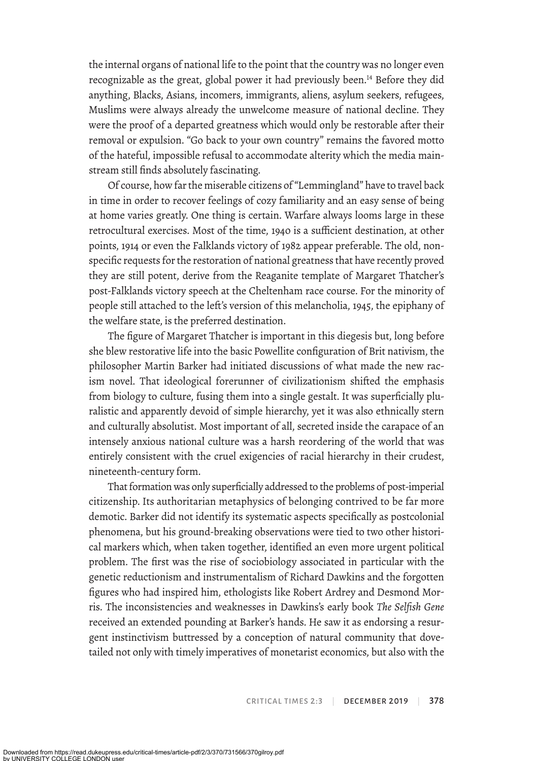the internal organs of national life to the point that the country was no longer even recognizable as the great, global power it had previously been.<sup>14</sup> Before they did anything, Blacks, Asians, incomers, immigrants, aliens, asylum seekers, refugees, Muslims were always already the unwelcome measure of national decline. They were the proof of a departed greatness which would only be restorable after their removal or expulsion. "Go back to your own country" remains the favored motto of the hateful, impossible refusal to accommodate alterity which the media mainstream still finds absolutely fascinating.

Of course, how far the miserable citizens of "Lemmingland" have to travel back in time in order to recover feelings of cozy familiarity and an easy sense of being at home varies greatly. One thing is certain. Warfare always looms large in these retrocultural exercises. Most of the time, 1940 is a sufficient destination, at other points, 1914 or even the Falklands victory of 1982 appear preferable. The old, nonspecific requests for the restoration of national greatness that have recently proved they are still potent, derive from the Reaganite template of Margaret Thatcher's post-Falklands victory speech at the Cheltenham race course. For the minority of people still attached to the left's version of this melancholia, 1945, the epiphany of the welfare state, is the preferred destination.

The figure of Margaret Thatcher is important in this diegesis but, long before she blew restorative life into the basic Powellite configuration of Brit nativism, the philosopher Martin Barker had initiated discussions of what made the new racism novel. That ideological forerunner of civilizationism shifted the emphasis from biology to culture, fusing them into a single gestalt. It was superficially pluralistic and apparently devoid of simple hierarchy, yet it was also ethnically stern and culturally absolutist. Most important of all, secreted inside the carapace of an intensely anxious national culture was a harsh reordering of the world that was entirely consistent with the cruel exigencies of racial hierarchy in their crudest, nineteenth-century form.

That formation was only superficially addressed to the problems of post-imperial citizenship. Its authoritarian metaphysics of belonging contrived to be far more demotic. Barker did not identify its systematic aspects specifically as postcolonial phenomena, but his ground-breaking observations were tied to two other historical markers which, when taken together, identified an even more urgent political problem. The first was the rise of sociobiology associated in particular with the genetic reductionism and instrumentalism of Richard Dawkins and the forgotten figures who had inspired him, ethologists like Robert Ardrey and Desmond Morris. The inconsistencies and weaknesses in Dawkins's early book *The Selfish Gene* received an extended pounding at Barker's hands. He saw it as endorsing a resurgent instinctivism buttressed by a conception of natural community that dovetailed not only with timely imperatives of monetarist economics, but also with the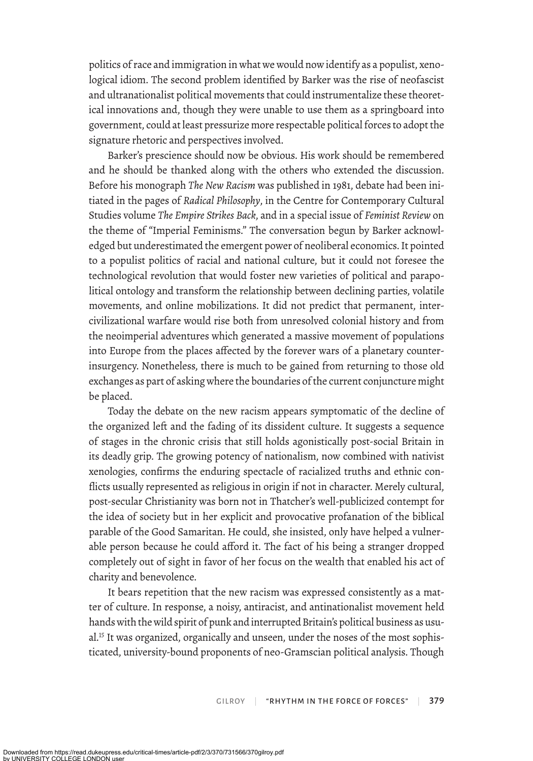politics of race and immigration in what we would now identify as a populist, xenological idiom. The second problem identified by Barker was the rise of neofascist and ultranationalist political movements that could instrumentalize these theoretical innovations and, though they were unable to use them as a springboard into government, could at least pressurize more respectable political forces to adopt the signature rhetoric and perspectives involved.

Barker's prescience should now be obvious. His work should be remembered and he should be thanked along with the others who extended the discussion. Before his monograph *The New Racism* was published in 1981, debate had been initiated in the pages of *Radical Philosophy*, in the Centre for Contemporary Cultural Studies volume *The Empire Strikes Back*, and in a special issue of *Feminist Review* on the theme of "Imperial Feminisms." The conversation begun by Barker acknowledged but underestimated the emergent power of neoliberal economics. It pointed to a populist politics of racial and national culture, but it could not foresee the technological revolution that would foster new varieties of political and parapolitical ontology and transform the relationship between declining parties, volatile movements, and online mobilizations. It did not predict that permanent, intercivilizational warfare would rise both from unresolved colonial history and from the neoimperial adventures which generated a massive movement of populations into Europe from the places afected by the forever wars of a planetary counterinsurgency. Nonetheless, there is much to be gained from returning to those old exchanges as part of asking where the boundaries of the current conjuncture might be placed.

Today the debate on the new racism appears symptomatic of the decline of the organized left and the fading of its dissident culture. It suggests a sequence of stages in the chronic crisis that still holds agonistically post-social Britain in its deadly grip. The growing potency of nationalism, now combined with nativist xenologies, confirms the enduring spectacle of racialized truths and ethnic conflicts usually represented as religious in origin if not in character. Merely cultural, post-secular Christianity was born not in Thatcher's well-publicized contempt for the idea of society but in her explicit and provocative profanation of the biblical parable of the Good Samaritan. He could, she insisted, only have helped a vulnerable person because he could afford it. The fact of his being a stranger dropped completely out of sight in favor of her focus on the wealth that enabled his act of charity and benevolence.

It bears repetition that the new racism was expressed consistently as a matter of culture. In response, a noisy, antiracist, and antinationalist movement held hands with the wild spirit of punk and interrupted Britain's political business as usual.<sup>15</sup> It was organized, organically and unseen, under the noses of the most sophisticated, university-bound proponents of neo-Gramscian political analysis. Though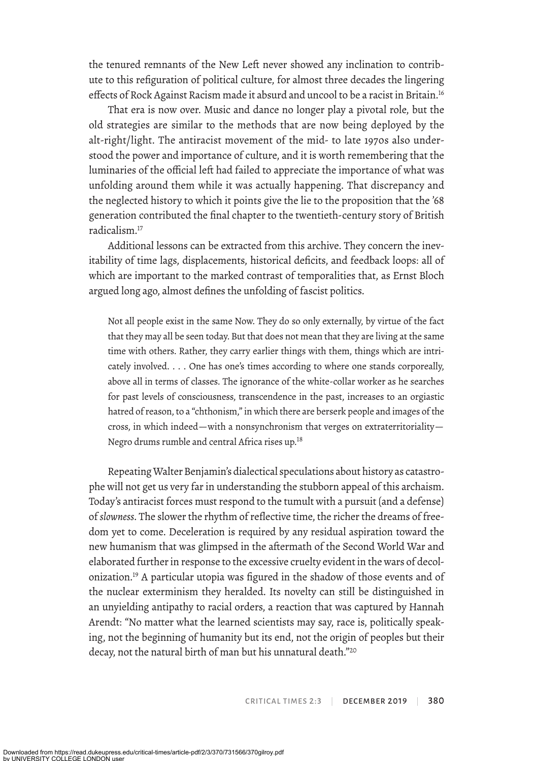the tenured remnants of the New Left never showed any inclination to contribute to this refiguration of political culture, for almost three decades the lingering effects of Rock Against Racism made it absurd and uncool to be a racist in Britain.<sup>16</sup>

That era is now over. Music and dance no longer play a pivotal role, but the old strategies are similar to the methods that are now being deployed by the alt-right/light. The antiracist movement of the mid- to late 1970s also understood the power and importance of culture, and it is worth remembering that the luminaries of the official left had failed to appreciate the importance of what was unfolding around them while it was actually happening. That discrepancy and the neglected history to which it points give the lie to the proposition that the '68 generation contributed the final chapter to the twentieth-century story of British radicalism.17

Additional lessons can be extracted from this archive. They concern the inevitability of time lags, displacements, historical deficits, and feedback loops: all of which are important to the marked contrast of temporalities that, as Ernst Bloch argued long ago, almost defines the unfolding of fascist politics.

Not all people exist in the same Now. They do so only externally, by virtue of the fact that they may all be seen today. But that does not mean that they are living at the same time with others. Rather, they carry earlier things with them, things which are intricately involved. . . . One has one's times according to where one stands corporeally, above all in terms of classes. The ignorance of the white-collar worker as he searches for past levels of consciousness, transcendence in the past, increases to an orgiastic hatred of reason, to a "chthonism," in which there are berserk people and images of the cross, in which indeed—with a nonsynchronism that verges on extraterritoriality— Negro drums rumble and central Africa rises up.18

Repeating Walter Benjamin's dialectical speculations about history as catastrophe will not get us very far in understanding the stubborn appeal of this archaism. Today's antiracist forces must respond to the tumult with a pursuit (and a defense) of *slowness*. The slower the rhythm of reflective time, the richer the dreams of freedom yet to come. Deceleration is required by any residual aspiration toward the new humanism that was glimpsed in the aftermath of the Second World War and elaborated further in response to the excessive cruelty evident in the wars of decolonization.19 A particular utopia was figured in the shadow of those events and of the nuclear exterminism they heralded. Its novelty can still be distinguished in an unyielding antipathy to racial orders, a reaction that was captured by Hannah Arendt: "No matter what the learned scientists may say, race is, politically speaking, not the beginning of humanity but its end, not the origin of peoples but their decay, not the natural birth of man but his unnatural death."<sup>20</sup>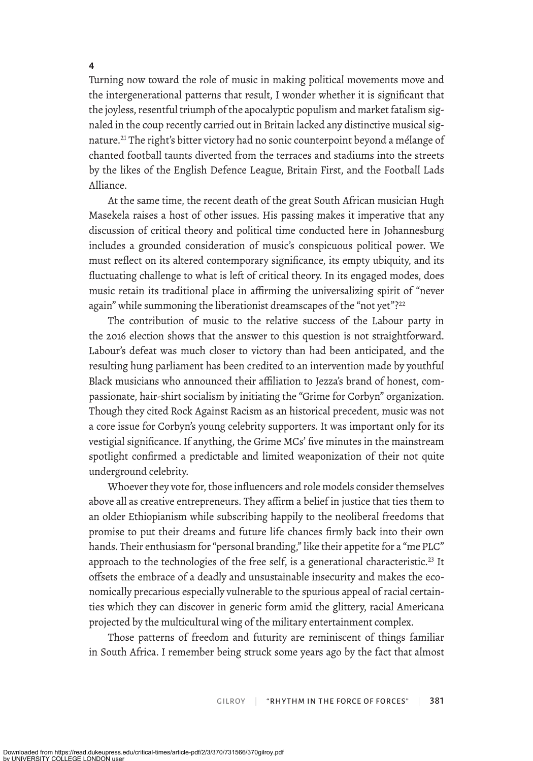**4**

Turning now toward the role of music in making political movements move and the intergenerational patterns that result, I wonder whether it is significant that the joyless, resentful triumph of the apocalyptic populism and market fatalism signaled in the coup recently carried out in Britain lacked any distinctive musical signature.<sup>21</sup> The right's bitter victory had no sonic counterpoint beyond a mélange of chanted football taunts diverted from the terraces and stadiums into the streets by the likes of the English Defence League, Britain First, and the Football Lads Alliance.

At the same time, the recent death of the great South African musician Hugh Masekela raises a host of other issues. His passing makes it imperative that any discussion of critical theory and political time conducted here in Johannesburg includes a grounded consideration of music's conspicuous political power. We must reflect on its altered contemporary significance, its empty ubiquity, and its fluctuating challenge to what is left of critical theory. In its engaged modes, does music retain its traditional place in affirming the universalizing spirit of "never again" while summoning the liberationist dreamscapes of the "not yet"?<sup>22</sup>

The contribution of music to the relative success of the Labour party in the 2016 election shows that the answer to this question is not straightforward. Labour's defeat was much closer to victory than had been anticipated, and the resulting hung parliament has been credited to an intervention made by youthful Black musicians who announced their afliation to Jezza's brand of honest, compassionate, hair-shirt socialism by initiating the "Grime for Corbyn" organization. Though they cited Rock Against Racism as an historical precedent, music was not a core issue for Corbyn's young celebrity supporters. It was important only for its vestigial significance. If anything, the Grime MCs' five minutes in the mainstream spotlight confirmed a predictable and limited weaponization of their not quite underground celebrity.

Whoever they vote for, those influencers and role models consider themselves above all as creative entrepreneurs. They affirm a belief in justice that ties them to an older Ethiopianism while subscribing happily to the neoliberal freedoms that promise to put their dreams and future life chances firmly back into their own hands. Their enthusiasm for "personal branding," like their appetite for a "me PLC" approach to the technologies of the free self, is a generational characteristic.<sup>23</sup> It offsets the embrace of a deadly and unsustainable insecurity and makes the economically precarious especially vulnerable to the spurious appeal of racial certainties which they can discover in generic form amid the glittery, racial Americana projected by the multicultural wing of the military entertainment complex.

Those patterns of freedom and futurity are reminiscent of things familiar in South Africa. I remember being struck some years ago by the fact that almost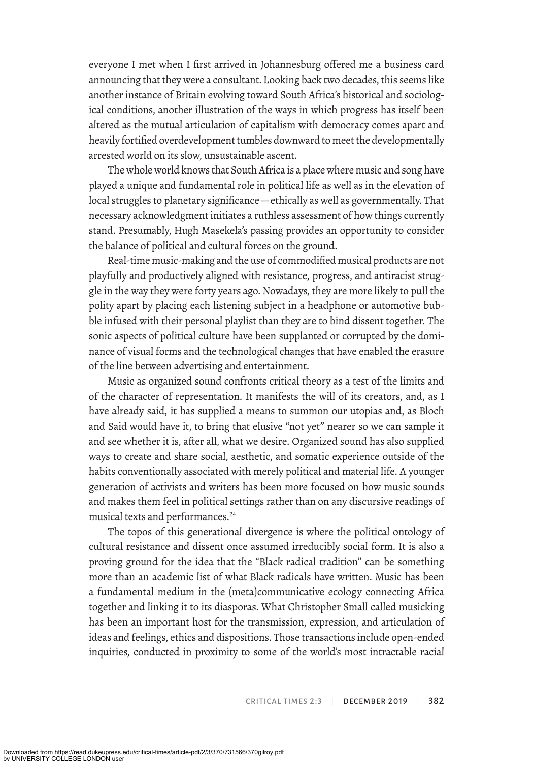everyone I met when I first arrived in Johannesburg ofered me a business card announcing that they were a consultant. Looking back two decades, this seems like another instance of Britain evolving toward South Africa's historical and sociological conditions, another illustration of the ways in which progress has itself been altered as the mutual articulation of capitalism with democracy comes apart and heavily fortified overdevelopment tumbles downward to meet the developmentally arrested world on its slow, unsustainable ascent.

The whole world knows that South Africa is a place where music and song have played a unique and fundamental role in political life as well as in the elevation of local struggles to planetary significance — ethically as well as governmentally. That necessary acknowledgment initiates a ruthless assessment of how things currently stand. Presumably, Hugh Masekela's passing provides an opportunity to consider the balance of political and cultural forces on the ground.

Real-time music-making and the use of commodified musical products are not playfully and productively aligned with resistance, progress, and antiracist struggle in the way they were forty years ago. Nowadays, they are more likely to pull the polity apart by placing each listening subject in a headphone or automotive bubble infused with their personal playlist than they are to bind dissent together. The sonic aspects of political culture have been supplanted or corrupted by the dominance of visual forms and the technological changes that have enabled the erasure of the line between advertising and entertainment.

Music as organized sound confronts critical theory as a test of the limits and of the character of representation. It manifests the will of its creators, and, as I have already said, it has supplied a means to summon our utopias and, as Bloch and Said would have it, to bring that elusive "not yet" nearer so we can sample it and see whether it is, after all, what we desire. Organized sound has also supplied ways to create and share social, aesthetic, and somatic experience outside of the habits conventionally associated with merely political and material life. A younger generation of activists and writers has been more focused on how music sounds and makes them feel in political settings rather than on any discursive readings of musical texts and performances.24

The topos of this generational divergence is where the political ontology of cultural resistance and dissent once assumed irreducibly social form. It is also a proving ground for the idea that the "Black radical tradition" can be something more than an academic list of what Black radicals have written. Music has been a fundamental medium in the (meta)communicative ecology connecting Africa together and linking it to its diasporas. What Christopher Small called musicking has been an important host for the transmission, expression, and articulation of ideas and feelings, ethics and dispositions. Those transactions include open-ended inquiries, conducted in proximity to some of the world's most intractable racial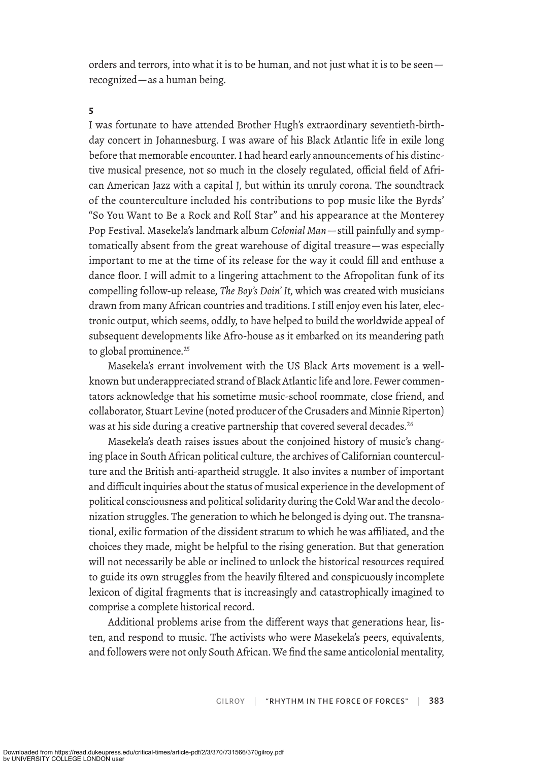orders and terrors, into what it is to be human, and not just what it is to be seen recognized—as a human being.

## **5**

I was fortunate to have attended Brother Hugh's extraordinary seventieth-birthday concert in Johannesburg. I was aware of his Black Atlantic life in exile long before that memorable encounter. I had heard early announcements of his distinctive musical presence, not so much in the closely regulated, official field of African American Jazz with a capital J, but within its unruly corona. The soundtrack of the counterculture included his contributions to pop music like the Byrds' "So You Want to Be a Rock and Roll Star" and his appearance at the Monterey Pop Festival. Masekela's landmark album *Colonial Man*—still painfully and symptomatically absent from the great warehouse of digital treasure—was especially important to me at the time of its release for the way it could fill and enthuse a dance floor. I will admit to a lingering attachment to the Afropolitan funk of its compelling follow-up release, *The Boy's Doin' It*, which was created with musicians drawn from many African countries and traditions. I still enjoy even his later, electronic output, which seems, oddly, to have helped to build the worldwide appeal of subsequent developments like Afro-house as it embarked on its meandering path to global prominence.<sup>25</sup>

Masekela's errant involvement with the US Black Arts movement is a wellknown but underappreciated strand of Black Atlantic life and lore. Fewer commentators acknowledge that his sometime music-school roommate, close friend, and collaborator, Stuart Levine (noted producer of the Crusaders and Minnie Riperton) was at his side during a creative partnership that covered several decades.<sup>26</sup>

Masekela's death raises issues about the conjoined history of music's changing place in South African political culture, the archives of Californian counterculture and the British anti-apartheid struggle. It also invites a number of important and difficult inquiries about the status of musical experience in the development of political consciousness and political solidarity during the Cold War and the decolonization struggles. The generation to which he belonged is dying out. The transnational, exilic formation of the dissident stratum to which he was afliated, and the choices they made, might be helpful to the rising generation. But that generation will not necessarily be able or inclined to unlock the historical resources required to guide its own struggles from the heavily filtered and conspicuously incomplete lexicon of digital fragments that is increasingly and catastrophically imagined to comprise a complete historical record.

Additional problems arise from the diferent ways that generations hear, listen, and respond to music. The activists who were Masekela's peers, equivalents, and followers were not only South African. We find the same anticolonial mentality,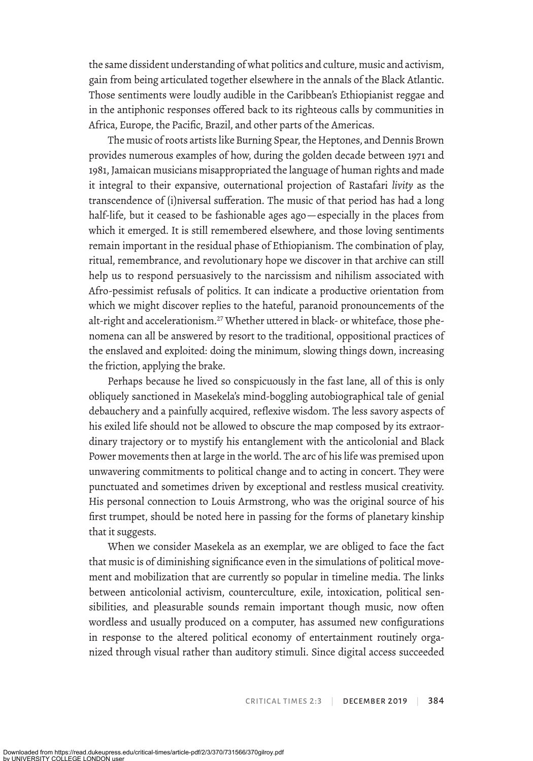the same dissident understanding of what politics and culture, music and activism, gain from being articulated together elsewhere in the annals of the Black Atlantic. Those sentiments were loudly audible in the Caribbean's Ethiopianist reggae and in the antiphonic responses ofered back to its righteous calls by communities in Africa, Europe, the Pacific, Brazil, and other parts of the Americas.

The music of roots artists like Burning Spear, the Heptones, and Dennis Brown provides numerous examples of how, during the golden decade between 1971 and 1981, Jamaican musicians misappropriated the language of human rights and made it integral to their expansive, outernational projection of Rastafari *livity* as the transcendence of (i)niversal sufferation. The music of that period has had a long half-life, but it ceased to be fashionable ages ago—especially in the places from which it emerged. It is still remembered elsewhere, and those loving sentiments remain important in the residual phase of Ethiopianism. The combination of play, ritual, remembrance, and revolutionary hope we discover in that archive can still help us to respond persuasively to the narcissism and nihilism associated with Afro-pessimist refusals of politics. It can indicate a productive orientation from which we might discover replies to the hateful, paranoid pronouncements of the alt-right and accelerationism.<sup>27</sup> Whether uttered in black- or whiteface, those phenomena can all be answered by resort to the traditional, oppositional practices of the enslaved and exploited: doing the minimum, slowing things down, increasing the friction, applying the brake.

Perhaps because he lived so conspicuously in the fast lane, all of this is only obliquely sanctioned in Masekela's mind-boggling autobiographical tale of genial debauchery and a painfully acquired, reflexive wisdom. The less savory aspects of his exiled life should not be allowed to obscure the map composed by its extraordinary trajectory or to mystify his entanglement with the anticolonial and Black Power movements then at large in the world. The arc of his life was premised upon unwavering commitments to political change and to acting in concert. They were punctuated and sometimes driven by exceptional and restless musical creativity. His personal connection to Louis Armstrong, who was the original source of his first trumpet, should be noted here in passing for the forms of planetary kinship that it sugests.

When we consider Masekela as an exemplar, we are obliged to face the fact that music is of diminishing significance even in the simulations of political movement and mobilization that are currently so popular in timeline media. The links between anticolonial activism, counterculture, exile, intoxication, political sensibilities, and pleasurable sounds remain important though music, now often wordless and usually produced on a computer, has assumed new configurations in response to the altered political economy of entertainment routinely organized through visual rather than auditory stimuli. Since digital access succeeded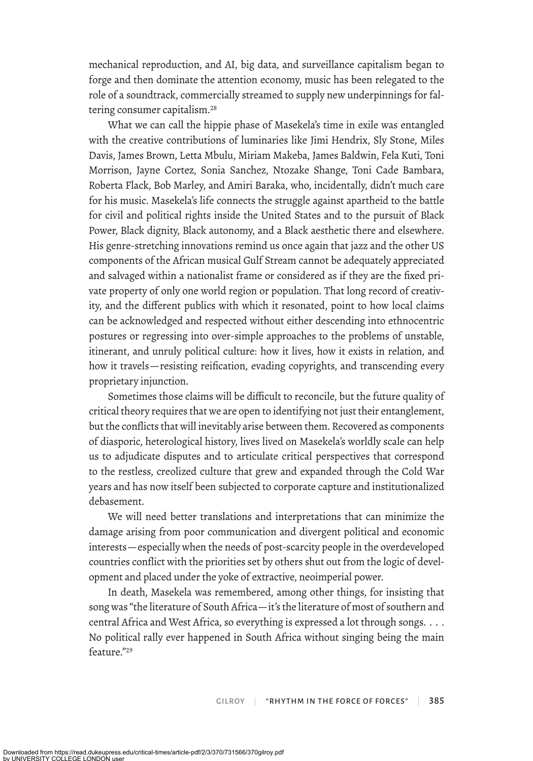mechanical reproduction, and AI, big data, and surveillance capitalism began to forge and then dominate the attention economy, music has been relegated to the role of a soundtrack, commercially streamed to supply new underpinnings for faltering consumer capitalism.<sup>28</sup>

What we can call the hippie phase of Masekela's time in exile was entangled with the creative contributions of luminaries like Jimi Hendrix, Sly Stone, Miles Davis, James Brown, Letta Mbulu, Miriam Makeba, James Baldwin, Fela Kuti, Toni Morrison, Jayne Cortez, Sonia Sanchez, Ntozake Shange, Toni Cade Bambara, Roberta Flack, Bob Marley, and Amiri Baraka, who, incidentally, didn't much care for his music. Masekela's life connects the struggle against apartheid to the battle for civil and political rights inside the United States and to the pursuit of Black Power, Black dignity, Black autonomy, and a Black aesthetic there and elsewhere. His genre-stretching innovations remind us once again that jazz and the other US components of the African musical Gulf Stream cannot be adequately appreciated and salvaged within a nationalist frame or considered as if they are the fixed private property of only one world region or population. That long record of creativity, and the diferent publics with which it resonated, point to how local claims can be acknowledged and respected without either descending into ethnocentric postures or regressing into over-simple approaches to the problems of unstable, itinerant, and unruly political culture: how it lives, how it exists in relation, and how it travels—resisting reification, evading copyrights, and transcending every proprietary injunction.

Sometimes those claims will be difficult to reconcile, but the future quality of critical theory requires that we are open to identifying not just their entanglement, but the conflicts that will inevitably arise between them. Recovered as components of diasporic, heterological history, lives lived on Masekela's worldly scale can help us to adjudicate disputes and to articulate critical perspectives that correspond to the restless, creolized culture that grew and expanded through the Cold War years and has now itself been subjected to corporate capture and institutionalized debasement.

We will need better translations and interpretations that can minimize the damage arising from poor communication and divergent political and economic interests—especially when the needs of post-scarcity people in the overdeveloped countries conflict with the priorities set by others shut out from the logic of development and placed under the yoke of extractive, neoimperial power.

In death, Masekela was remembered, among other things, for insisting that song was "the literature of South Africa—it's the literature of most of southern and central Africa and West Africa, so everything is expressed a lot through songs. . . .  No political rally ever happened in South Africa without singing being the main feature<sup>"29</sup>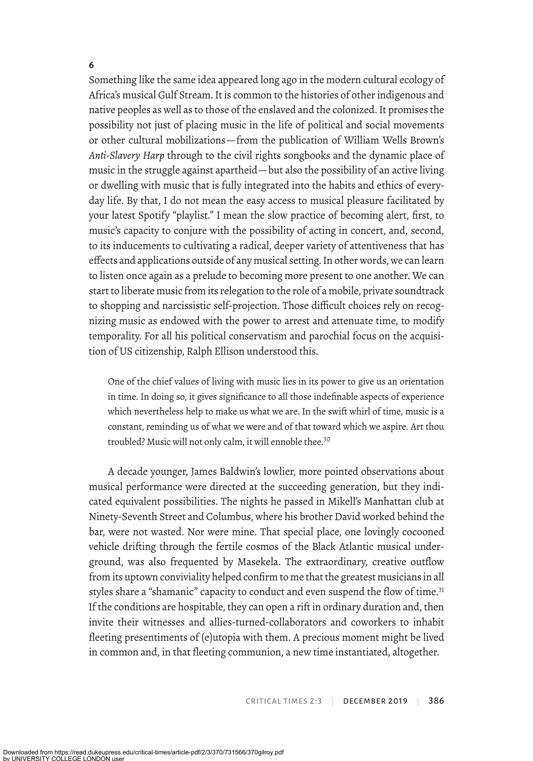### **6**

Something like the same idea appeared long ago in the modern cultural ecology of Africa's musical Gulf Stream. It is common to the histories of other indigenous and native peoples as well as to those of the enslaved and the colonized. It promises the possibility not just of placing music in the life of political and social movements or other cultural mobilizations—from the publication of William Wells Brown's *Anti-Slavery Harp* through to the civil rights songbooks and the dynamic place of music in the struggle against apartheid—but also the possibility of an active living or dwelling with music that is fully integrated into the habits and ethics of everyday life. By that, I do not mean the easy access to musical pleasure facilitated by your latest Spotify "playlist." I mean the slow practice of becoming alert, first, to music's capacity to conjure with the possibility of acting in concert, and, second, to its inducements to cultivating a radical, deeper variety of attentiveness that has efects and applications outside of any musical setting. In other words, we can learn to listen once again as a prelude to becoming more present to one another. We can start to liberate music from its relegation to the role of a mobile, private soundtrack to shopping and narcissistic self-projection. Those difficult choices rely on recognizing music as endowed with the power to arrest and attenuate time, to modify temporality. For all his political conservatism and parochial focus on the acquisition of US citizenship, Ralph Ellison understood this.

One of the chief values of living with music lies in its power to give us an orientation in time. In doing so, it gives significance to all those indefinable aspects of experience which nevertheless help to make us what we are. In the swift whirl of time, music is a constant, reminding us of what we were and of that toward which we aspire. Art thou troubled? Music will not only calm, it will ennoble thee.<sup>30</sup>

A decade younger, James Baldwin's lowlier, more pointed observations about musical performance were directed at the succeeding generation, but they indicated equivalent possibilities. The nights he passed in Mikell's Manhattan club at Ninety-Seventh Street and Columbus, where his brother David worked behind the bar, were not wasted. Nor were mine. That special place, one lovingly cocooned vehicle drifting through the fertile cosmos of the Black Atlantic musical underground, was also frequented by Masekela. The extraordinary, creative outflow from its uptown conviviality helped confirm to me that the greatest musicians in all styles share a "shamanic" capacity to conduct and even suspend the flow of time.<sup>31</sup> If the conditions are hospitable, they can open a rift in ordinary duration and, then invite their witnesses and allies-turned-collaborators and coworkers to inhabit fleeting presentiments of (e)utopia with them. A precious moment might be lived in common and, in that fleeting communion, a new time instantiated, altogether.

CRITICAL TIMES 2:3 | DECEMBER 2019 | 386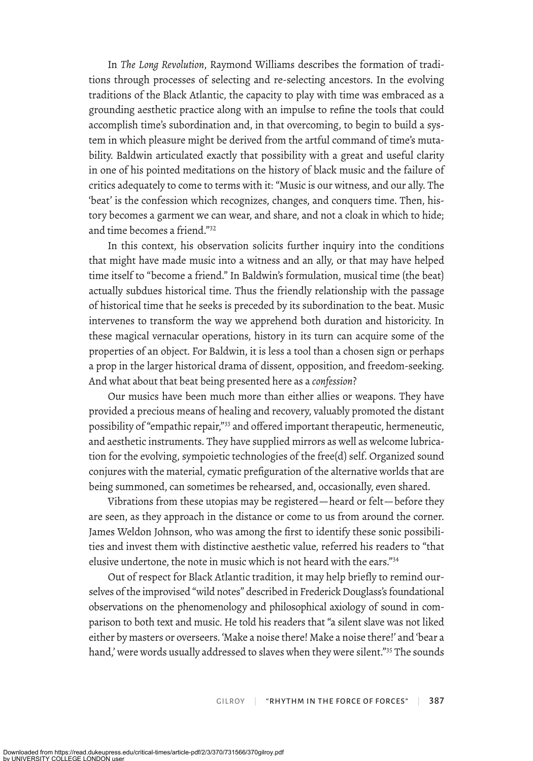In *The Long Revolution*, Raymond Williams describes the formation of traditions through processes of selecting and re-selecting ancestors. In the evolving traditions of the Black Atlantic, the capacity to play with time was embraced as a grounding aesthetic practice along with an impulse to refine the tools that could accomplish time's subordination and, in that overcoming, to begin to build a system in which pleasure might be derived from the artful command of time's mutability. Baldwin articulated exactly that possibility with a great and useful clarity in one of his pointed meditations on the history of black music and the failure of critics adequately to come to terms with it: "Music is our witness, and our ally. The 'beat' is the confession which recognizes, changes, and conquers time. Then, history becomes a garment we can wear, and share, and not a cloak in which to hide; and time becomes a friend."32

In this context, his observation solicits further inquiry into the conditions that might have made music into a witness and an ally, or that may have helped time itself to "become a friend." In Baldwin's formulation, musical time (the beat) actually subdues historical time. Thus the friendly relationship with the passage of historical time that he seeks is preceded by its subordination to the beat. Music intervenes to transform the way we apprehend both duration and historicity. In these magical vernacular operations, history in its turn can acquire some of the properties of an object. For Baldwin, it is less a tool than a chosen sign or perhaps a prop in the larger historical drama of dissent, opposition, and freedom-seeking. And what about that beat being presented here as a *confession*?

Our musics have been much more than either allies or weapons. They have provided a precious means of healing and recovery, valuably promoted the distant possibility of "empathic repair,"33 and ofered important therapeutic, hermeneutic, and aesthetic instruments. They have supplied mirrors as well as welcome lubrication for the evolving, sympoietic technologies of the free(d) self. Organized sound conjures with the material, cymatic prefiguration of the alternative worlds that are being summoned, can sometimes be rehearsed, and, occasionally, even shared.

Vibrations from these utopias may be registered—heard or felt—before they are seen, as they approach in the distance or come to us from around the corner. James Weldon Johnson, who was among the first to identify these sonic possibilities and invest them with distinctive aesthetic value, referred his readers to "that elusive undertone, the note in music which is not heard with the ears."34

Out of respect for Black Atlantic tradition, it may help briefly to remind ourselves of the improvised "wild notes" described in Frederick Douglass's foundational observations on the phenomenology and philosophical axiology of sound in comparison to both text and music. He told his readers that "a silent slave was not liked either by masters or overseers. 'Make a noise there! Make a noise there!' and 'bear a hand,' were words usually addressed to slaves when they were silent."<sup>35</sup> The sounds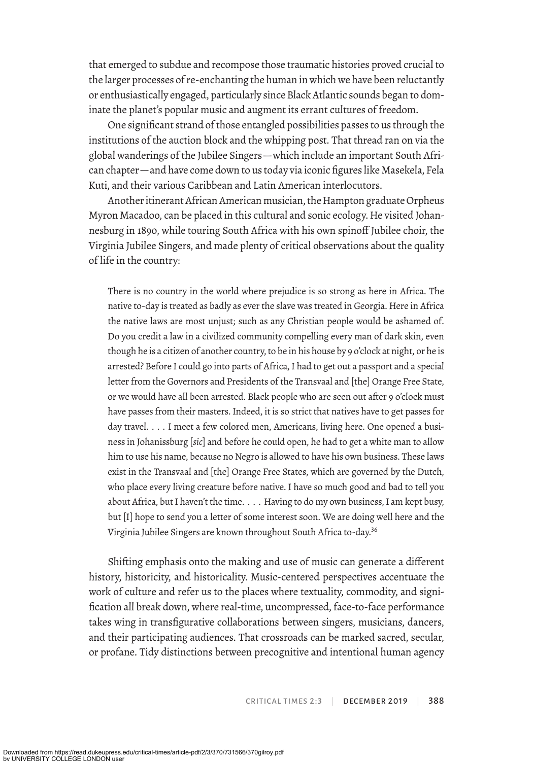that emerged to subdue and recompose those traumatic histories proved crucial to the larger processes of re-enchanting the human in which we have been reluctantly or enthusiastically engaged, particularly since Black Atlantic sounds began to dominate the planet's popular music and augment its errant cultures of freedom.

One significant strand of those entangled possibilities passes to us through the institutions of the auction block and the whipping post. That thread ran on via the global wanderings of the Jubilee Singers—which include an important South African chapter—and have come down to us today via iconic figures like Masekela, Fela Kuti, and their various Caribbean and Latin American interlocutors.

Another itinerant African American musician, the Hampton graduate Orpheus Myron Macadoo, can be placed in this cultural and sonic ecology. He visited Johannesburg in 1890, while touring South Africa with his own spinoff Jubilee choir, the Virginia Jubilee Singers, and made plenty of critical observations about the quality of life in the country:

There is no country in the world where prejudice is so strong as here in Africa. The native to-day is treated as badly as ever the slave was treated in Georgia. Here in Africa the native laws are most unjust; such as any Christian people would be ashamed of. Do you credit a law in a civilized community compelling every man of dark skin, even though he is a citizen of another country, to be in his house by 9 o'clock at night, or he is arrested? Before I could go into parts of Africa, I had to get out a passport and a special letter from the Governors and Presidents of the Transvaal and [the] Orange Free State, or we would have all been arrested. Black people who are seen out after 9 o'clock must have passes from their masters. Indeed, it is so strict that natives have to get passes for day travel. . . . I meet a few colored men, Americans, living here. One opened a business in Johanissburg [*sic*] and before he could open, he had to get a white man to allow him to use his name, because no Negro is allowed to have his own business. These laws exist in the Transvaal and [the] Orange Free States, which are governed by the Dutch, who place every living creature before native. I have so much good and bad to tell you about Africa, but I haven't the time. . . . Having to do my own business, I am kept busy, but [I] hope to send you a letter of some interest soon. We are doing well here and the Virginia Jubilee Singers are known throughout South Africa to-day.<sup>36</sup>

Shifting emphasis onto the making and use of music can generate a diferent history, historicity, and historicality. Music-centered perspectives accentuate the work of culture and refer us to the places where textuality, commodity, and signification all break down, where real-time, uncompressed, face-to-face performance takes wing in transfigurative collaborations between singers, musicians, dancers, and their participating audiences. That crossroads can be marked sacred, secular, or profane. Tidy distinctions between precognitive and intentional human agency

CRITICAL TIMES 2:3 | DECEMBER 2019 | 388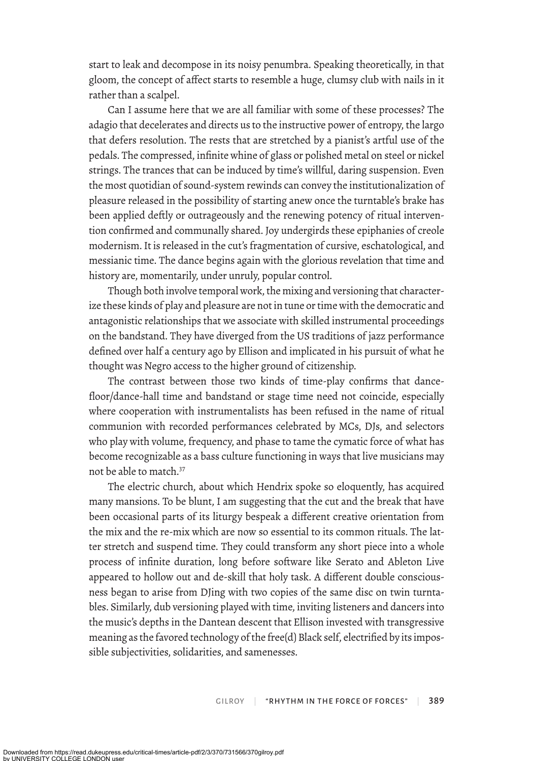start to leak and decompose in its noisy penumbra. Speaking theoretically, in that gloom, the concept of afect starts to resemble a huge, clumsy club with nails in it rather than a scalpel.

Can I assume here that we are all familiar with some of these processes? The adagio that decelerates and directs us to the instructive power of entropy, the largo that defers resolution. The rests that are stretched by a pianist's artful use of the pedals. The compressed, infinite whine of glass or polished metal on steel or nickel strings. The trances that can be induced by time's willful, daring suspension. Even the most quotidian of sound-system rewinds can convey the institutionalization of pleasure released in the possibility of starting anew once the turntable's brake has been applied deftly or outrageously and the renewing potency of ritual intervention confirmed and communally shared. Joy undergirds these epiphanies of creole modernism. It is released in the cut's fragmentation of cursive, eschatological, and messianic time. The dance begins again with the glorious revelation that time and history are, momentarily, under unruly, popular control.

Though both involve temporal work, the mixing and versioning that characterize these kinds of play and pleasure are not in tune or time with the democratic and antagonistic relationships that we associate with skilled instrumental proceedings on the bandstand. They have diverged from the US traditions of jazz performance defined over half a century ago by Ellison and implicated in his pursuit of what he thought was Negro access to the higher ground of citizenship.

The contrast between those two kinds of time-play confirms that dancefloor/dance-hall time and bandstand or stage time need not coincide, especially where cooperation with instrumentalists has been refused in the name of ritual communion with recorded performances celebrated by MCs, DJs, and selectors who play with volume, frequency, and phase to tame the cymatic force of what has become recognizable as a bass culture functioning in ways that live musicians may not be able to match.<sup>37</sup>

The electric church, about which Hendrix spoke so eloquently, has acquired many mansions. To be blunt, I am suggesting that the cut and the break that have been occasional parts of its liturgy bespeak a diferent creative orientation from the mix and the re-mix which are now so essential to its common rituals. The latter stretch and suspend time. They could transform any short piece into a whole process of infinite duration, long before software like Serato and Ableton Live appeared to hollow out and de-skill that holy task. A diferent double consciousness began to arise from DJing with two copies of the same disc on twin turntables. Similarly, dub versioning played with time, inviting listeners and dancers into the music's depths in the Dantean descent that Ellison invested with transgressive meaning as the favored technology of the free(d) Black self, electrified by its impossible subjectivities, solidarities, and samenesses.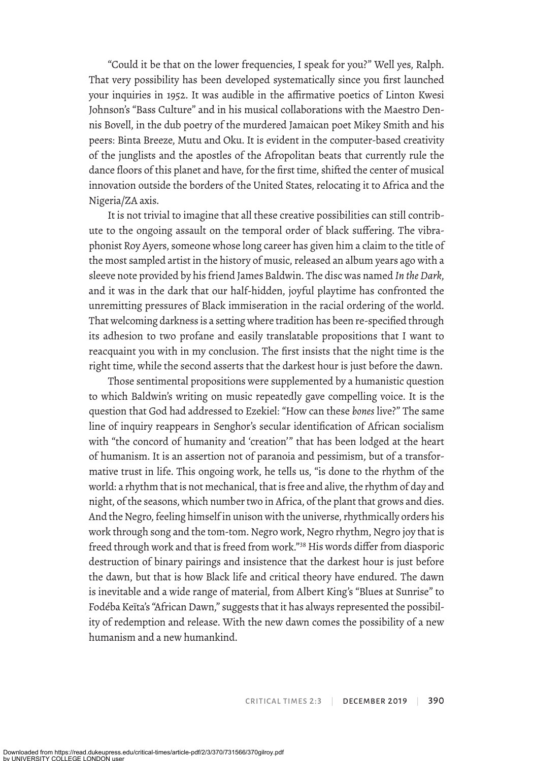"Could it be that on the lower frequencies, I speak for you?" Well yes, Ralph. That very possibility has been developed systematically since you first launched your inquiries in 1952. It was audible in the affirmative poetics of Linton Kwesi Johnson's "Bass Culture" and in his musical collaborations with the Maestro Dennis Bovell, in the dub poetry of the murdered Jamaican poet Mikey Smith and his peers: Binta Breeze, Mutu and Oku. It is evident in the computer-based creativity of the junglists and the apostles of the Afropolitan beats that currently rule the dance floors of this planet and have, for the first time, shifted the center of musical innovation outside the borders of the United States, relocating it to Africa and the Nigeria/ZA axis.

It is not trivial to imagine that all these creative possibilities can still contribute to the ongoing assault on the temporal order of black sufering. The vibraphonist Roy Ayers, someone whose long career has given him a claim to the title of the most sampled artist in the history of music, released an album years ago with a sleeve note provided by his friend James Baldwin. The disc was named *In the Dark*, and it was in the dark that our half-hidden, joyful playtime has confronted the unremitting pressures of Black immiseration in the racial ordering of the world. That welcoming darkness is a setting where tradition has been re-specified through its adhesion to two profane and easily translatable propositions that I want to reacquaint you with in my conclusion. The first insists that the night time is the right time, while the second asserts that the darkest hour is just before the dawn.

Those sentimental propositions were supplemented by a humanistic question to which Baldwin's writing on music repeatedly gave compelling voice. It is the question that God had addressed to Ezekiel: "How can these *bones* live?" The same line of inquiry reappears in Senghor's secular identification of African socialism with "the concord of humanity and 'creation'" that has been lodged at the heart of humanism. It is an assertion not of paranoia and pessimism, but of a transformative trust in life. This ongoing work, he tells us, "is done to the rhythm of the world: a rhythm that is not mechanical, that is free and alive, the rhythm of day and night, of the seasons, which number two in Africa, of the plant that grows and dies. And the Negro, feeling himself in unison with the universe, rhythmically orders his work through song and the tom-tom. Negro work, Negro rhythm, Negro joy that is freed through work and that is freed from work."<sup>38</sup> His words differ from diasporic destruction of binary pairings and insistence that the darkest hour is just before the dawn, but that is how Black life and critical theory have endured. The dawn is inevitable and a wide range of material, from Albert King's "Blues at Sunrise" to Fodéba Keïta's "African Dawn," sugests that it has always represented the possibility of redemption and release. With the new dawn comes the possibility of a new humanism and a new humankind.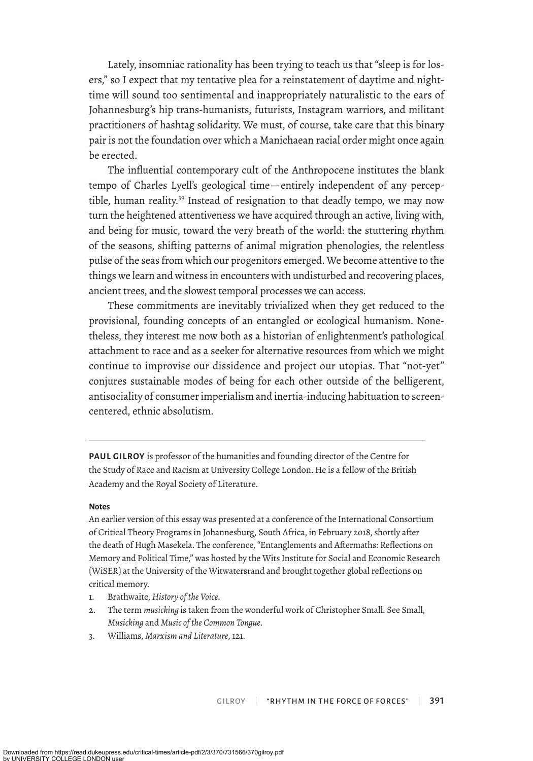Lately, insomniac rationality has been trying to teach us that "sleep is for losers," so I expect that my tentative plea for a reinstatement of daytime and nighttime will sound too sentimental and inappropriately naturalistic to the ears of Johannesburg's hip trans-humanists, futurists, Instagram warriors, and militant practitioners of hashtag solidarity. We must, of course, take care that this binary pair is not the foundation over which a Manichaean racial order might once again be erected.

The influential contemporary cult of the Anthropocene institutes the blank tempo of Charles Lyell's geological time—entirely independent of any perceptible, human reality.<sup>39</sup> Instead of resignation to that deadly tempo, we may now turn the heightened attentiveness we have acquired through an active, living with, and being for music, toward the very breath of the world: the stuttering rhythm of the seasons, shifting patterns of animal migration phenologies, the relentless pulse of the seas from which our progenitors emerged. We become attentive to the things we learn and witness in encounters with undisturbed and recovering places, ancient trees, and the slowest temporal processes we can access.

These commitments are inevitably trivialized when they get reduced to the provisional, founding concepts of an entangled or ecological humanism. Nonetheless, they interest me now both as a historian of enlightenment's pathological attachment to race and as a seeker for alternative resources from which we might continue to improvise our dissidence and project our utopias. That "not-yet" conjures sustainable modes of being for each other outside of the belligerent, antisociality of consumer imperialism and inertia-inducing habituation to screencentered, ethnic absolutism.

**PAUL GILROY** is professor of the humanities and founding director of the Centre for the Study of Race and Racism at University College London. He is a fellow of the British Academy and the Royal Society of Literature.

#### **Notes**

An earlier version of this essay was presented at a conference of the International Consortium of Critical Theory Programs in Johannesburg, South Africa, in February 2018, shortly after the death of Hugh Masekela. The conference, "Entanglements and Aftermaths: Reflections on Memory and Political Time," was hosted by the Wits Institute for Social and Economic Research (WiSER) at the University of the Witwatersrand and brought together global reflections on critical memory.

- 1. Brathwaite, *History of the Voice*.
- 2. The term *musicking* is taken from the wonderful work of Christopher Small. See Small, *Musicking* and *Music of the Common Tongue*.
- 3. Williams, *Marxism and Literature*, 121.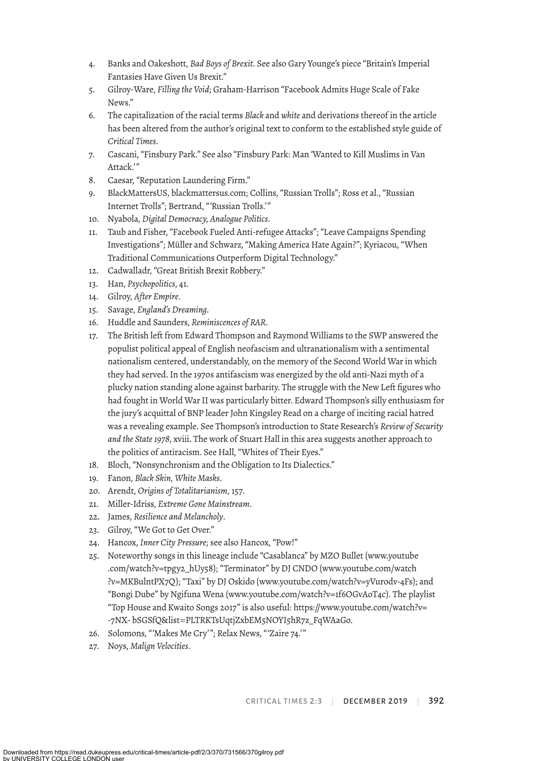- 4. Banks and Oakeshott, *Bad Boys of Brexit*. See also Gary Younge's piece "Britain's Imperial Fantasies Have Given Us Brexit."
- 5. Gilroy-Ware, *Filling the Void*; Graham-Harrison "Facebook Admits Huge Scale of Fake News."
- 6. The capitalization of the racial terms *Black* and *white* and derivations thereof in the article has been altered from the author's original text to conform to the established style guide of *Critical Times*.
- 7. Cascani, "Finsbury Park." See also "Finsbury Park: Man 'Wanted to Kill Muslims in Van Attack."
- 8. Caesar, "Reputation Laundering Firm."
- 9. BlackMattersUS, blackmattersus.com; Collins, "Russian Trolls"; Ross et al., "Russian Internet Trolls"; Bertrand, "'Russian Trolls.'"
- 10. Nyabola, *Digital Democracy, Analogue Politics*.
- 11. Taub and Fisher, "Facebook Fueled Anti-refugee Attacks"; "Leave Campaigns Spending Investigations"; Müller and Schwarz, "Making America Hate Again?"; Kyriacou, "When Traditional Communications Outperform Digital Technology."
- 12. Cadwalladr, "Great British Brexit Robbery."
- 13. Han, *Psychopolitics*, 41.
- 14. Gilroy, *After Empire*.
- 15. Savage, *England's Dreaming*.
- 16. Huddle and Saunders, *Reminiscences of RAR*.
- 17. The British left from Edward Thompson and Raymond Williams to the SWP answered the populist political appeal of English neofascism and ultranationalism with a sentimental nationalism centered, understandably, on the memory of the Second World War in which they had served. In the 1970s antifascism was energized by the old anti-Nazi myth of a plucky nation standing alone against barbarity. The struggle with the New Left figures who had fought in World War II was particularly bitter. Edward Thompson's silly enthusiasm for the jury's acquittal of BNP leader John Kingsley Read on a charge of inciting racial hatred was a revealing example. See Thompson's introduction to State Research's *Review of Security and the State 1978*, xviii. The work of Stuart Hall in this area suggests another approach to the politics of antiracism. See Hall, "Whites of Their Eyes."
- 18. Bloch, "Nonsynchronism and the Obligation to Its Dialectics."
- 19. Fanon, *Black Skin, White Masks*.
- 20. Arendt, *Origins of Totalitarianism*, 157.
- 21. Miller-Idriss, *Extreme Gone Mainstream*.
- 22. James, *Resilience and Melancholy*.
- 23. Gilroy, "We Got to Get Over."
- 24. Hancox, *Inner City Pressure*; see also Hancox, "Pow!"
- 25. Noteworthy songs in this lineage include "Casablanca" by MZO Bullet (www.youtube .com/watch?v=tpgy2\_hUy58); "Terminator" by DJ CNDO (www.youtube.com/watch ?v=MKBulntPX7Q); "Taxi" by DJ Oskido (www.youtube.com/watch?v=yVurodv-4Fs); and "Bongi Dube" by Ngifuna Wena (www.youtube.com/watch?v=1f6OGvAoT4c). The playlist "Top House and Kwaito Songs 2017" is also useful: https://www.youtube.com/watch?v= -7NX- bSGSfQ&list = PLTRKTsUqtjZxbEM5NOYI5hR7z\_FqWAaGo.
- 26. Solomons, "'Makes Me Cry'"; Relax News, "'Zaire 74.'"
- 27. Noys, *Malign Velocities*.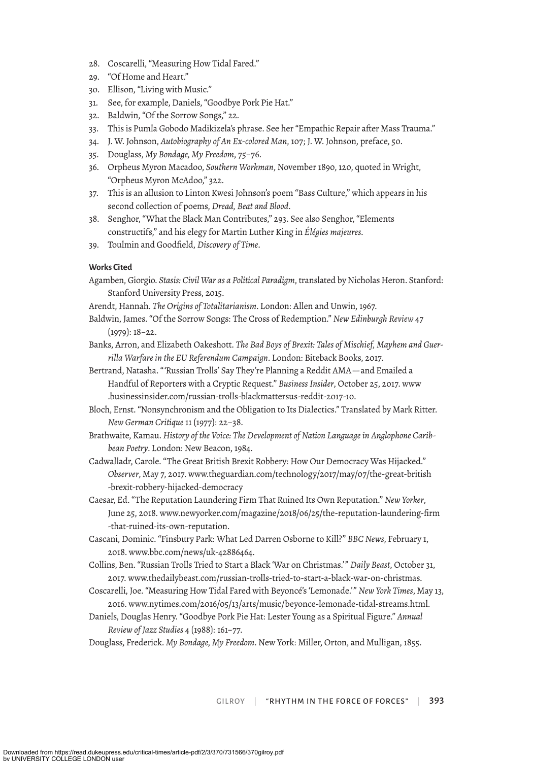- 28. Coscarelli, "Measuring How Tidal Fared."
- 29. "Of Home and Heart."
- 30. Ellison, "Living with Music."
- 31. See, for example, Daniels, "Goodbye Pork Pie Hat."
- 32. Baldwin, "Of the Sorrow Songs," 22.
- 33. This is Pumla Gobodo Madikizela's phrase. See her "Empathic Repair after Mass Trauma."
- 34. J. W. Johnson, *Autobiography of An Ex-colored Man*, 107; J. W. Johnson, preface, 50.
- 35. Douglass, *My Bondage, My Freedom*, 75–76.
- 36. Orpheus Myron Macadoo, *Southern Workman*, November 1890, 120, quoted in Wright, "Orpheus Myron McAdoo," 322.
- 37. This is an allusion to Linton Kwesi Johnson's poem "Bass Culture," which appears in his second collection of poems, *Dread, Beat and Blood*.
- 38. Senghor, "What the Black Man Contributes," 293. See also Senghor, "Elements constructifs," and his elegy for Martin Luther King in *Élégies majeures*.
- 39. Toulmin and Goodfield, *Discovery of Time*.

### **Works Cited**

- Agamben, Giorgio. *Stasis: Civil War as a Political Paradigm*, translated by Nicholas Heron. Stanford: Stanford University Press, 2015.
- Arendt, Hannah. *The Origins of Totalitarianism*. London: Allen and Unwin, 1967.
- Baldwin, James. "Of the Sorrow Songs: The Cross of Redemption." *New Edinburgh Review* 47 (1979): 18–22.
- Banks, Arron, and Elizabeth Oakeshott. *The Bad Boys of Brexit: Tales of Mischief, Mayhem and Guerrilla Warfare in the EU Referendum Campaign*. London: Biteback Books, 2017.
- Bertrand, Natasha. "'Russian Trolls' Say They're Planning a Reddit AMA—and Emailed a Handful of Reporters with a Cryptic Request." *Business Insider*, October 25, 2017. www .businessinsider.com/russian-trolls-blackmattersus-reddit-2017-10.
- Bloch, Ernst. "Nonsynchronism and the Obligation to Its Dialectics." Translated by Mark Ritter. *New German Critique* 11 (1977): 22–38.
- Brathwaite, Kamau. *History of the Voice: The Development of Nation Language in Anglophone Caribbean Poetry*. London: New Beacon, 1984.
- Cadwalladr, Carole. "The Great British Brexit Robbery: How Our Democracy Was Hijacked." *Observer*, May 7, 2017. www.theguardian.com/technology/2017/may/07/the-great-british -brexit-robbery-hijacked-democracy
- Caesar, Ed. "The Reputation Laundering Firm That Ruined Its Own Reputation." *New Yorker*, June 25, 2018. www.newyorker.com/magazine/2018/06/25/the-reputation-laundering-firm -that-ruined-its-own-reputation.
- Cascani, Dominic. "Finsbury Park: What Led Darren Osborne to Kill?" *BBC News*, February 1, 2018. www.bbc.com/news/uk-42886464.
- Collins, Ben. "Russian Trolls Tried to Start a Black 'War on Christmas.'" *Daily Beast*, October 31, 2017. www.thedailybeast.com/russian-trolls-tried-to-start-a-black-war-on-christmas.
- Coscarelli, Joe. "Measuring How Tidal Fared with Beyoncé's 'Lemonade.'" *New York Times*, May 13, 2016. www.nytimes.com/2016/05/13/arts/music/beyonce-lemonade-tidal-streams.html.
- Daniels, Douglas Henry. "Goodbye Pork Pie Hat: Lester Young as a Spiritual Figure." *Annual Review of Jazz Studies* 4 (1988): 161–77.
- Douglass, Frederick. *My Bondage, My Freedom*. New York: Miller, Orton, and Mulligan, 1855.

GILROY | "RHYTHM IN THE FORCE OF FORCES" | 393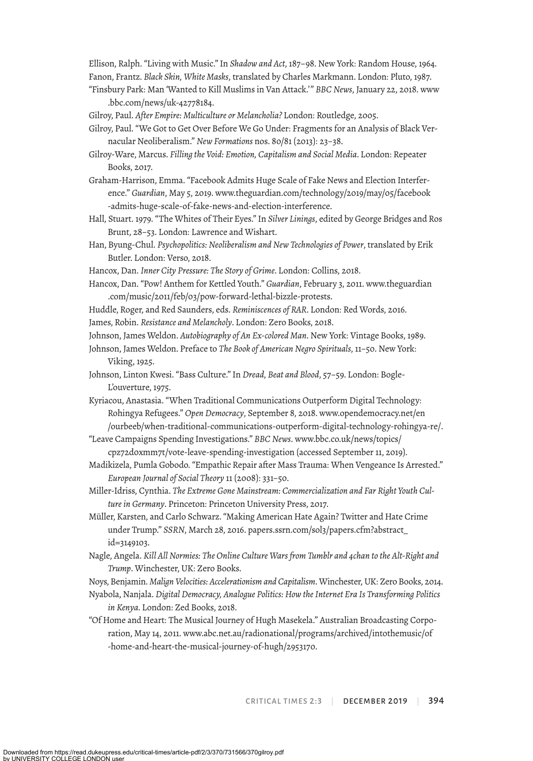Ellison, Ralph. "Living with Music." In *Shadow and Act*, 187–98. New York: Random House, 1964. Fanon, Frantz. *Black Skin, White Masks*, translated by Charles Markmann. London: Pluto, 1987.

- "Finsbury Park: Man 'Wanted to Kill Muslims in Van Attack.'" *BBC News*, January 22, 2018. www .bbc.com/news/uk-42778184.
- Gilroy, Paul. *After Empire: Multiculture or Melancholia?* London: Routledge, 2005.
- Gilroy, Paul. "We Got to Get Over Before We Go Under: Fragments for an Analysis of Black Vernacular Neoliberalism." *New Formations* nos. 80/81 (2013): 23–38.
- Gilroy-Ware, Marcus. *Filling the Void: Emotion, Capitalism and Social Media*. London: Repeater Books, 2017.
- Graham-Harrison, Emma. "Facebook Admits Huge Scale of Fake News and Election Interference." *Guardian*, May 5, 2019. www.theguardian.com/technology/2019/may/05/facebook -admits-huge-scale-of-fake-news-and-election-interference.
- Hall, Stuart. 1979. "The Whites of Their Eyes." In *Silver Linings*, edited by George Bridges and Ros Brunt, 28–53. London: Lawrence and Wishart.
- Han, Byung-Chul. *Psychopolitics: Neoliberalism and New Technologies of Power*, translated by Erik Butler. London: Verso, 2018.
- Hancox, Dan. *Inner City Pressure: The Story of Grime*. London: Collins, 2018.
- Hancox, Dan. "Pow! Anthem for Kettled Youth." *Guardian*, February 3, 2011. www.theguardian .com/music/2011/feb/03/pow-forward-lethal-bizzle-protests.
- Huddle, Roger, and Red Saunders, eds. *Reminiscences of RAR*. London: Red Words, 2016.
- James, Robin. *Resistance and Melancholy*. London: Zero Books, 2018.
- Johnson, James Weldon. *Autobiography of An Ex-colored Man*. New York: Vintage Books, 1989.
- Johnson, James Weldon. Preface to *The Book of American Negro Spirituals*, 11–50. New York: Viking, 1925.
- Johnson, Linton Kwesi. "Bass Culture." In *Dread, Beat and Blood*, 57–59. London: Bogle-L'ouverture, 1975.
- Kyriacou, Anastasia. "When Traditional Communications Outperform Digital Technology: Rohingya Refugees." *Open Democracy*, September 8, 2018. www.opendemocracy.net/en /ourbeeb/when-traditional-communications-outperform-digital-technology-rohingya-re/.
- "Leave Campaigns Spending Investigations." *BBC News*. www.bbc.co.uk/news/topics/ cpz72d0xmm7t/vote-leave-spending-investigation (accessed September 11, 2019).
- Madikizela, Pumla Gobodo. "Empathic Repair after Mass Trauma: When Vengeance Is Arrested." *European Journal of Social Theory* 11 (2008): 331–50.
- Miller-Idriss, Cynthia. *The Extreme Gone Mainstream: Commercialization and Far Right Youth Culture in Germany*. Princeton: Princeton University Press, 2017.
- Müller, Karsten, and Carlo Schwarz. "Making American Hate Again? Twitter and Hate Crime under Trump." *SSRN*, March 28, 2016. papers.ssrn.com/sol3/papers.cfm?abstract\_ id=3149103.
- Nagle, Angela. *Kill All Normies: The Online Culture Wars from Tumblr and 4chan to the Alt-Right and Trump*. Winchester, UK: Zero Books.
- Noys, Benjamin. *Malign Velocities: Accelerationism and Capitalism*. Winchester, UK: Zero Books, 2014.
- Nyabola, Nanjala. *Digital Democracy, Analogue Politics: How the Internet Era Is Transforming Politics in Kenya*. London: Zed Books, 2018.
- "Of Home and Heart: The Musical Journey of Hugh Masekela." Australian Broadcasting Corporation, May 14, 2011. www.abc.net.au/radionational/programs/archived/intothemusic/of -home-and-heart-the-musical-journey-of-hugh/2953170.